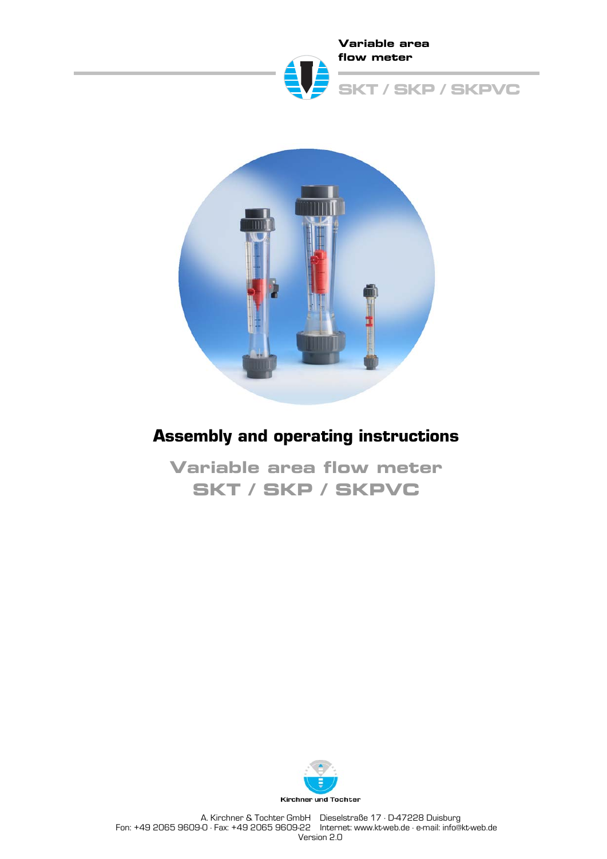



# **Assembly and operating instructions**

**Variable area flow meter SKT / SKP / SKPVC**

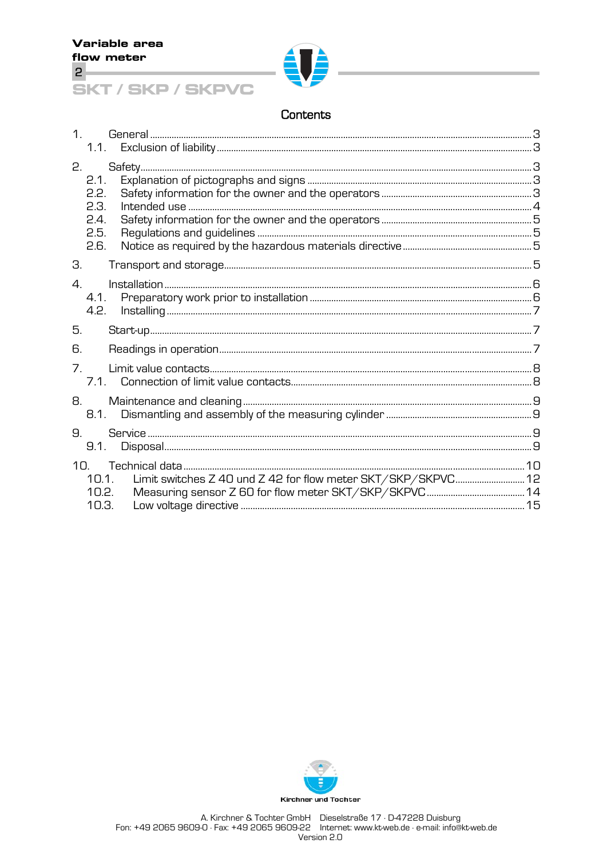

## Contents

| $\mathbf 1$     | 1.1.                         |                                                              |  |
|-----------------|------------------------------|--------------------------------------------------------------|--|
| 2.              | 2.1.<br>2.2.<br>2.3.<br>2.4. |                                                              |  |
|                 | 2.5.<br>2.6.                 |                                                              |  |
| З.              |                              |                                                              |  |
| 4.              | 4.1.<br>4.2.                 |                                                              |  |
| 5.              |                              |                                                              |  |
| 6.              |                              |                                                              |  |
| 7 <sup>1</sup>  |                              |                                                              |  |
| 8.              | 8.1.                         |                                                              |  |
| 9.              | 9.1.                         |                                                              |  |
| 10 <sub>1</sub> | 10.1.<br>10.2.<br>10.3.      | Limit switches Z 40 und Z 42 for flow meter SKT/SKP/SKPVC 12 |  |

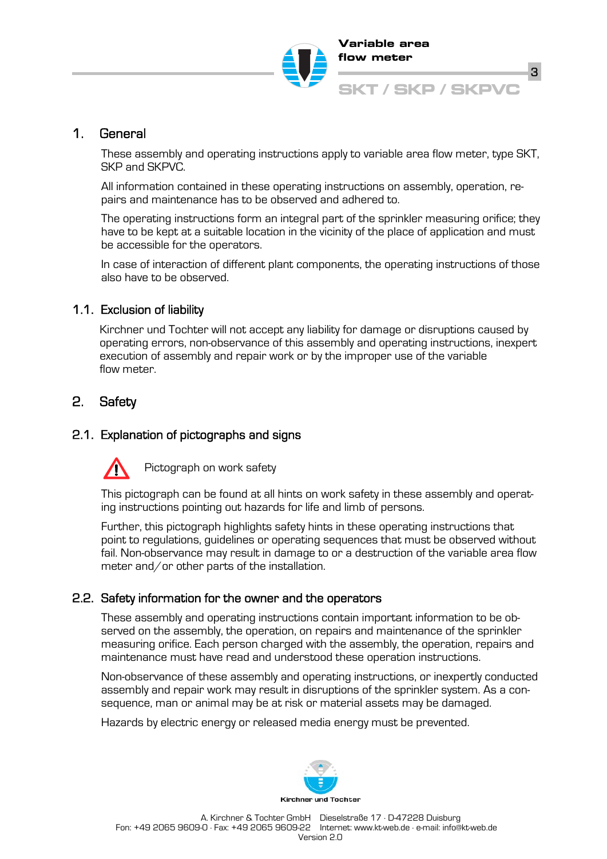

# 1. General

These assembly and operating instructions apply to variable area flow meter, type SKT, SKP and SKPVC.

All information contained in these operating instructions on assembly, operation, repairs and maintenance has to be observed and adhered to.

The operating instructions form an integral part of the sprinkler measuring orifice; they have to be kept at a suitable location in the vicinity of the place of application and must be accessible for the operators.

In case of interaction of different plant components, the operating instructions of those also have to be observed.

## 1.1. Exclusion of liability

Kirchner und Tochter will not accept any liability for damage or disruptions caused by operating errors, non-observance of this assembly and operating instructions, inexpert execution of assembly and repair work or by the improper use of the variable flow meter.

# 2. Safety

# 2.1. Explanation of pictographs and signs



Pictograph on work safety

This pictograph can be found at all hints on work safety in these assembly and operating instructions pointing out hazards for life and limb of persons.

Further, this pictograph highlights safety hints in these operating instructions that point to regulations, guidelines or operating sequences that must be observed without fail. Non-observance may result in damage to or a destruction of the variable area flow meter and/or other parts of the installation.

# 2.2. Safety information for the owner and the operators

These assembly and operating instructions contain important information to be observed on the assembly, the operation, on repairs and maintenance of the sprinkler measuring orifice. Each person charged with the assembly, the operation, repairs and maintenance must have read and understood these operation instructions.

Non-observance of these assembly and operating instructions, or inexpertly conducted assembly and repair work may result in disruptions of the sprinkler system. As a consequence, man or animal may be at risk or material assets may be damaged.

Hazards by electric energy or released media energy must be prevented.

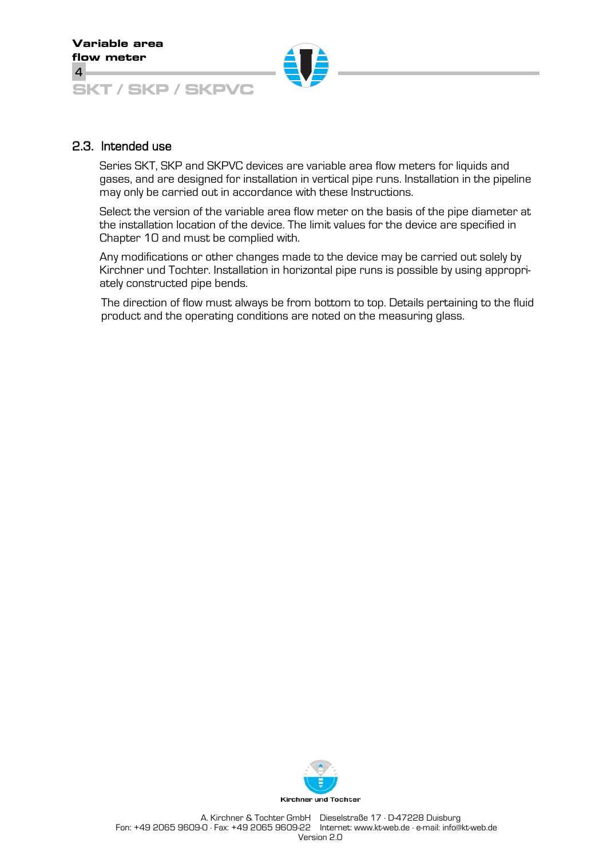### 2.3. Intended use

Series SKT, SKP and SKPVC devices are variable area flow meters for liquids and gases, and are designed for installation in vertical pipe runs. Installation in the pipeline may only be carried out in accordance with these Instructions.

Select the version of the variable area flow meter on the basis of the pipe diameter at the installation location of the device. The limit values for the device are specified in Chapter 10 and must be complied with.

Any modifications or other changes made to the device may be carried out solely by Kirchner und Tochter. Installation in horizontal pipe runs is possible by using appropriately constructed pipe bends.

The direction of flow must always be from bottom to top. Details pertaining to the fluid product and the operating conditions are noted on the measuring glass.

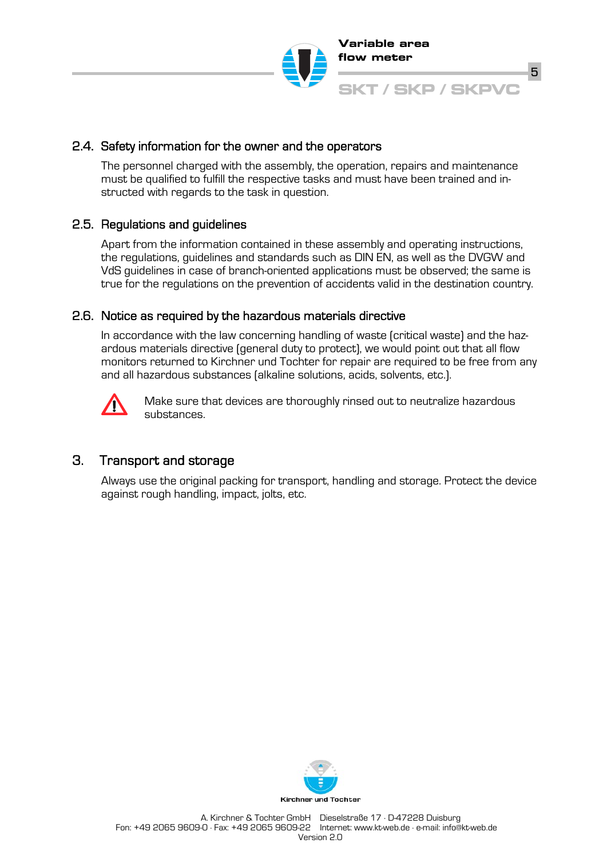

## 2.4. Safety information for the owner and the operators

The personnel charged with the assembly, the operation, repairs and maintenance must be qualified to fulfill the respective tasks and must have been trained and instructed with regards to the task in question.

## 2.5. Regulations and guidelines

Apart from the information contained in these assembly and operating instructions, the regulations, guidelines and standards such as DIN EN, as well as the DVGW and VdS guidelines in case of branch-oriented applications must be observed; the same is true for the regulations on the prevention of accidents valid in the destination country.

## 2.6. Notice as required by the hazardous materials directive

In accordance with the law concerning handling of waste (critical waste) and the hazardous materials directive (general duty to protect), we would point out that all flow monitors returned to Kirchner und Tochter for repair are required to be free from any and all hazardous substances (alkaline solutions, acids, solvents, etc.).



Make sure that devices are thoroughly rinsed out to neutralize hazardous substances.

# 3. Transport and storage

Always use the original packing for transport, handling and storage. Protect the device against rough handling, impact, jolts, etc.

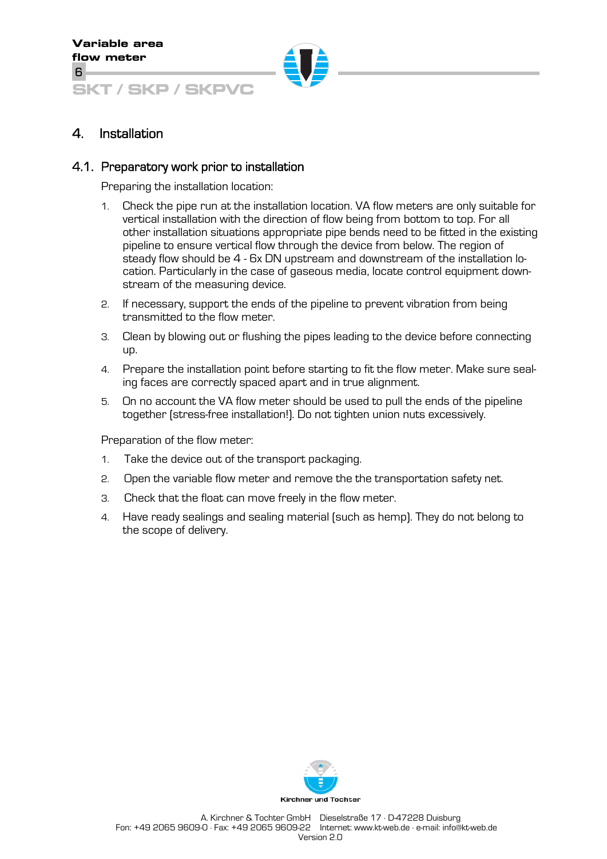# 4. Installation

### 4.1. Preparatory work prior to installation

Preparing the installation location:

- 1. Check the pipe run at the installation location. VA flow meters are only suitable for vertical installation with the direction of flow being from bottom to top. For all other installation situations appropriate pipe bends need to be fitted in the existing pipeline to ensure vertical flow through the device from below. The region of steady flow should be 4 - 6x DN upstream and downstream of the installation location. Particularly in the case of gaseous media, locate control equipment downstream of the measuring device.
- 2. If necessary, support the ends of the pipeline to prevent vibration from being transmitted to the flow meter.
- 3. Clean by blowing out or flushing the pipes leading to the device before connecting up.
- 4. Prepare the installation point before starting to fit the flow meter. Make sure sealing faces are correctly spaced apart and in true alignment.
- 5. On no account the VA flow meter should be used to pull the ends of the pipeline together (stress-free installation!). Do not tighten union nuts excessively.

Preparation of the flow meter:

- 1. Take the device out of the transport packaging.
- 2. Open the variable flow meter and remove the the transportation safety net.
- 3. Check that the float can move freely in the flow meter.
- 4. Have ready sealings and sealing material (such as hemp). They do not belong to the scope of delivery.

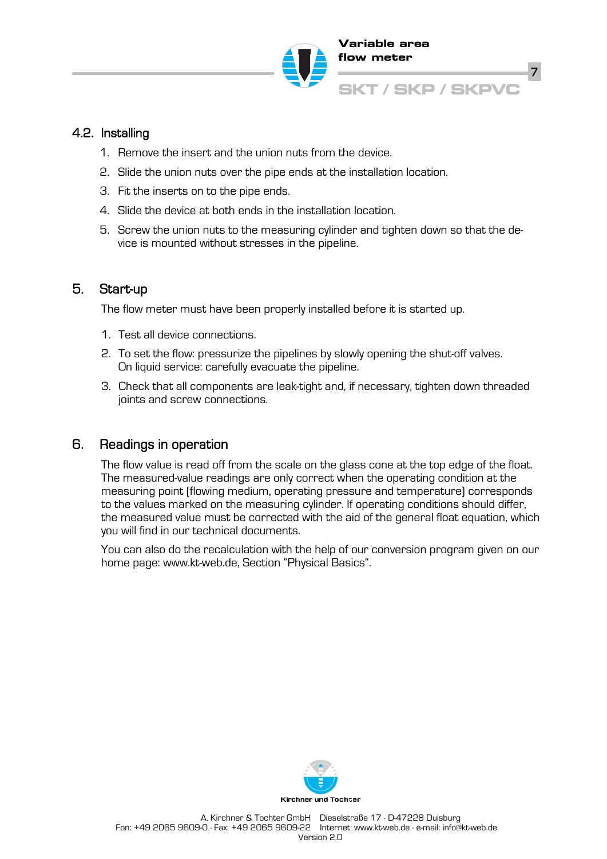

# 4.2. Installing

- 1. Remove the insert and the union nuts from the device.
- 2. Slide the union nuts over the pipe ends at the installation location.
- 3. Fit the inserts on to the pipe ends.
- 4. Slide the device at both ends in the installation location.
- 5. Screw the union nuts to the measuring cylinder and tighten down so that the device is mounted without stresses in the pipeline.

## 5. Start-up

The flow meter must have been properly installed before it is started up.

- 1. Test all device connections.
- 2. To set the flow: pressurize the pipelines by slowly opening the shut-off valves. On liquid service: carefully evacuate the pipeline.
- 3. Check that all components are leak-tight and, if necessary, tighten down threaded joints and screw connections.

## 6. Readings in operation

The flow value is read off from the scale on the glass cone at the top edge of the float. The measured-value readings are only correct when the operating condition at the measuring point (flowing medium, operating pressure and temperature) corresponds to the values marked on the measuring cylinder. If operating conditions should differ, the measured value must be corrected with the aid of the general float equation, which you will find in our technical documents.

You can also do the recalculation with the help of our conversion program given on our home page: www.kt-web.de, Section "Physical Basics".

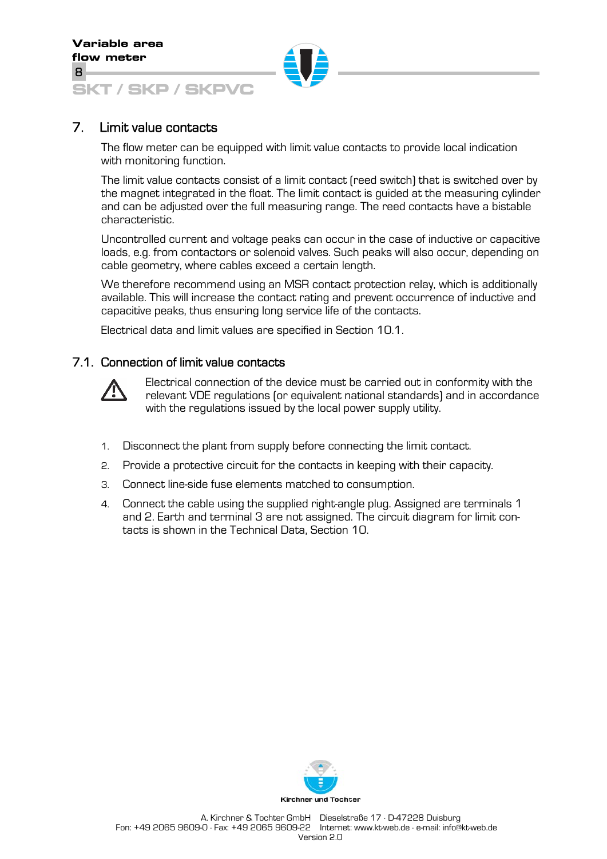# 7. Limit value contacts

The flow meter can be equipped with limit value contacts to provide local indication with monitoring function.

The limit value contacts consist of a limit contact (reed switch) that is switched over by the magnet integrated in the float. The limit contact is guided at the measuring cylinder and can be adjusted over the full measuring range. The reed contacts have a bistable characteristic.

Uncontrolled current and voltage peaks can occur in the case of inductive or capacitive loads, e.g. from contactors or solenoid valves. Such peaks will also occur, depending on cable geometry, where cables exceed a certain length.

We therefore recommend using an MSR contact protection relay, which is additionally available. This will increase the contact rating and prevent occurrence of inductive and capacitive peaks, thus ensuring long service life of the contacts.

Electrical data and limit values are specified in Section 10.1.

## 7.1. Connection of limit value contacts



Electrical connection of the device must be carried out in conformity with the relevant VDE regulations (or equivalent national standards) and in accordance with the regulations issued by the local power supply utility.

- 1. Disconnect the plant from supply before connecting the limit contact.
- 2. Provide a protective circuit for the contacts in keeping with their capacity.
- 3. Connect line-side fuse elements matched to consumption.
- 4. Connect the cable using the supplied right-angle plug. Assigned are terminals 1 and 2. Earth and terminal 3 are not assigned. The circuit diagram for limit contacts is shown in the Technical Data, Section 10.

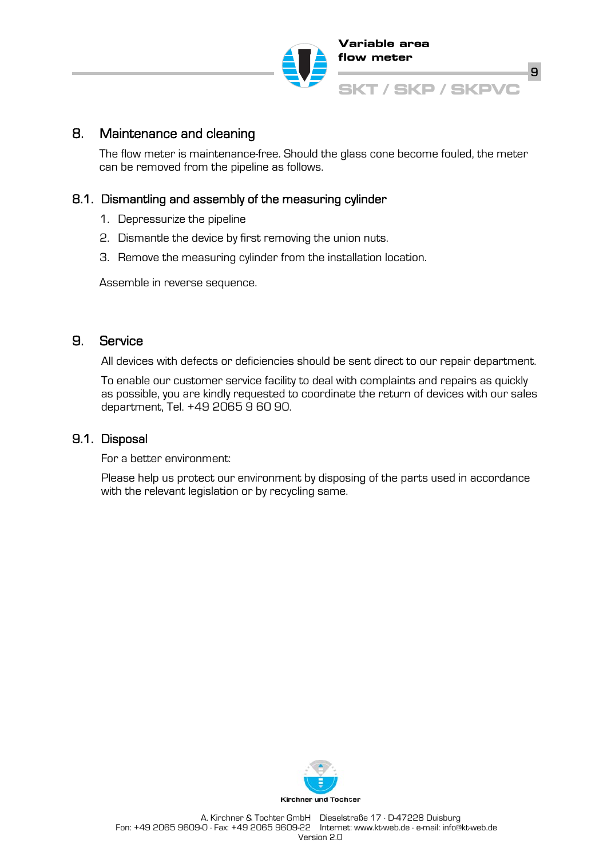

# 8. Maintenance and cleaning

The flow meter is maintenance-free. Should the glass cone become fouled, the meter can be removed from the pipeline as follows.

## 8.1. Dismantling and assembly of the measuring cylinder

- 1. Depressurize the pipeline
- 2. Dismantle the device by first removing the union nuts.
- 3. Remove the measuring cylinder from the installation location.

Assemble in reverse sequence.

# 9. Service

All devices with defects or deficiencies should be sent direct to our repair department.

To enable our customer service facility to deal with complaints and repairs as quickly as possible, you are kindly requested to coordinate the return of devices with our sales department, Tel. +49 2065 9 60 90.

## 9.1. Disposal

For a better environment:

Please help us protect our environment by disposing of the parts used in accordance with the relevant legislation or by recycling same.

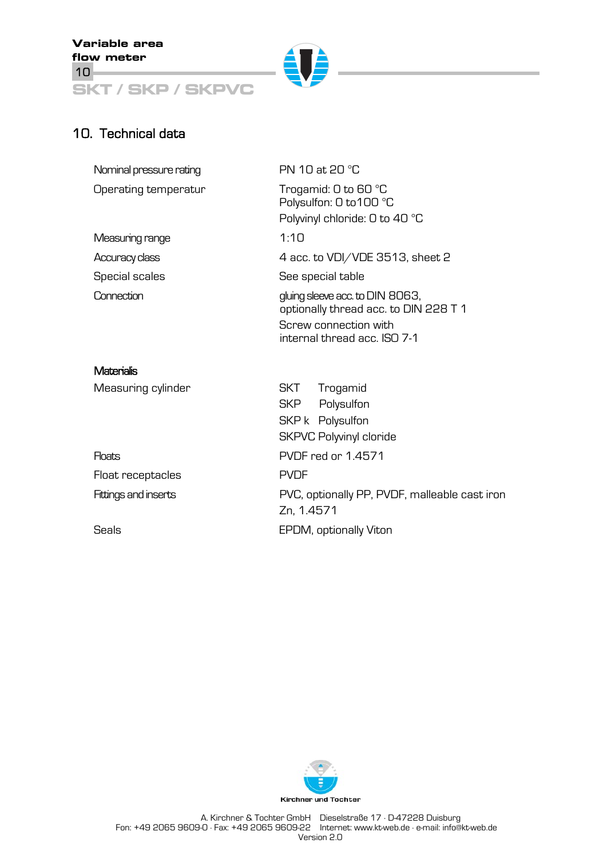**Variable area flow meter**  10

**SKT / SKP / SKPVC**



# 10. Technical data

| Nominal pressure rating     | PN 10 at 20 °C                                                                                                                    |  |  |  |
|-----------------------------|-----------------------------------------------------------------------------------------------------------------------------------|--|--|--|
| Operating temperatur        | Trogamid: 0 to 60 °C<br>Polysulfon: 0 to 100 °C<br>Polyvinyl chloride: 0 to 40 °C                                                 |  |  |  |
| Measuring range             | 1:10                                                                                                                              |  |  |  |
| Accuracy class              | 4 acc. to VDI/VDE 3513, sheet 2                                                                                                   |  |  |  |
| Special scales              | See special table                                                                                                                 |  |  |  |
| Connection                  | gluing sleeve acc. to DIN 8063,<br>optionally thread acc. to DIN 228 T 1<br>Screw connection with<br>internal thread acc. ISO 7-1 |  |  |  |
| <b>Materialis</b>           |                                                                                                                                   |  |  |  |
| Measuring cylinder          | Trogamid<br>SKT<br>Polysulfon<br><b>SKP</b><br>SKP k Polysulfon<br><b>SKPVC Polyvinyl cloride</b>                                 |  |  |  |
| <b>Floats</b>               | PVDF red or 1.4571                                                                                                                |  |  |  |
| Float receptacles           | <b>PVDF</b>                                                                                                                       |  |  |  |
| <b>Fittings and inserts</b> | PVC, optionally PP, PVDF, malleable cast iron<br>Zn, 1.4571                                                                       |  |  |  |
| Seals                       | EPDM, optionally Viton                                                                                                            |  |  |  |

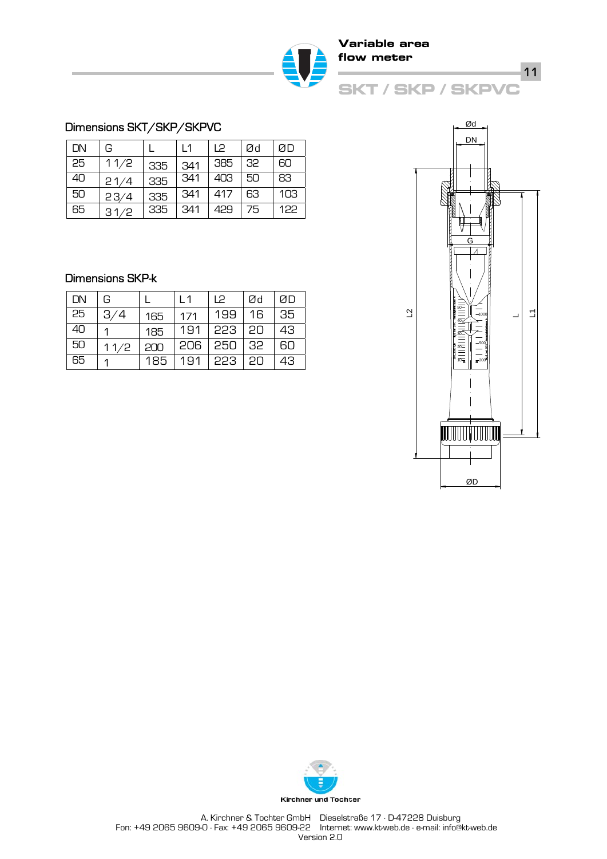

### Dimensions SKT/SKP/SKPVC

| DN | G    |           | $\vert$ 1 | P        | Ød   | ØП  |
|----|------|-----------|-----------|----------|------|-----|
| 25 | 11/2 | 335       | 341       | 385 32   |      | 60  |
| 40 | 21/4 | 335       | 341       | 403   50 |      | 83  |
| 50 | 23/4 | 335       | 341       | 417      | - 63 | 103 |
| 65 | 31/2 | $335$ 341 |           | 429      | l 75 | 122 |

## Dimensions SKP-k

| DN | G    |     | l 1 | 12                     | Ød | ØП  |
|----|------|-----|-----|------------------------|----|-----|
| 25 | 3/4  | 165 | 171 | 199                    | 16 | 35  |
| 40 |      | 185 |     | 191   223   20         |    | 43  |
| 50 | 11/2 | 200 |     | $206 \mid 250 \mid 32$ |    | -60 |
| 65 |      | 185 | 191 | 223   20               |    | 43  |



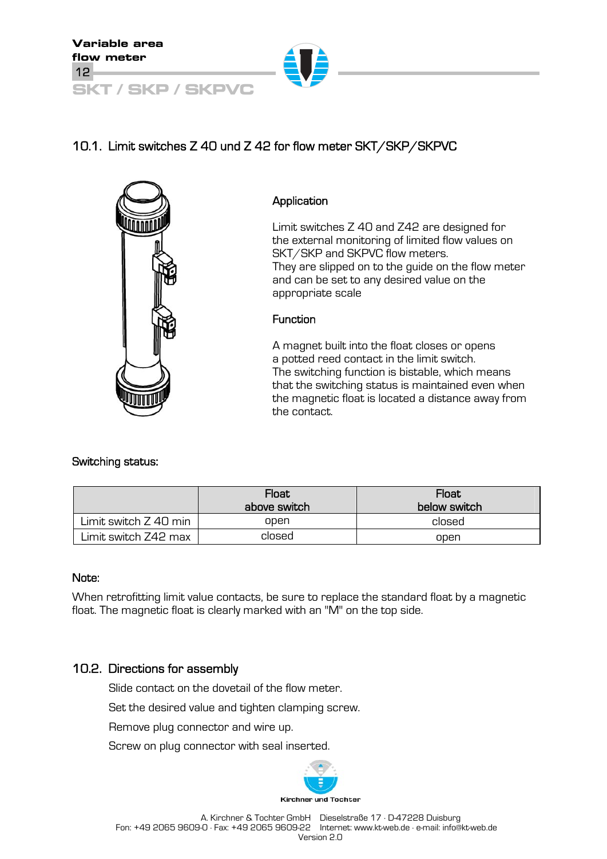

# 10.1. Limit switches Z 40 und Z 42 for flow meter SKT/SKP/SKPVC



### Application

Limit switches Z 40 and Z42 are designed for the external monitoring of limited flow values on SKT/SKP and SKPVC flow meters. They are slipped on to the guide on the flow meter and can be set to any desired value on the appropriate scale

### **Function**

A magnet built into the float closes or opens a potted reed contact in the limit switch. The switching function is bistable, which means that the switching status is maintained even when the magnetic float is located a distance away from the contact.

## Switching status:

|                       | <b>Float</b><br>above switch | Float<br>below switch |
|-----------------------|------------------------------|-----------------------|
| Limit switch Z 40 min | open                         | closed                |
| Limit switch Z42 max  | closed                       | open                  |

### Note:

When retrofitting limit value contacts, be sure to replace the standard float by a magnetic float. The magnetic float is clearly marked with an "M" on the top side.

# 10.2. Directions for assembly

Slide contact on the dovetail of the flow meter.

Set the desired value and tighten clamping screw.

Remove plug connector and wire up.

Screw on plug connector with seal inserted.

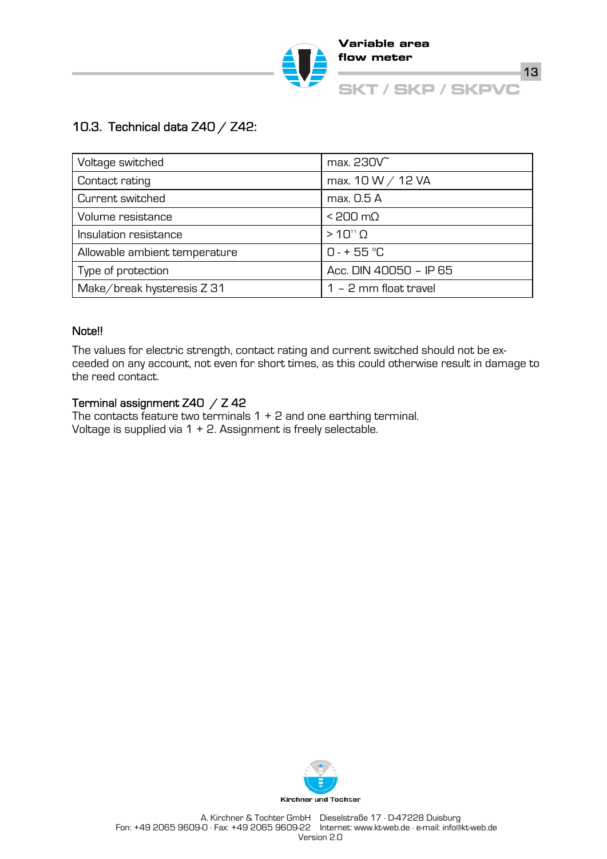

# 10.3. Technical data Z40 / Z42:

| Voltage switched              | max. 230V               |  |
|-------------------------------|-------------------------|--|
| Contact rating                | max. 10 W / 12 VA       |  |
| Current switched              | max. 0.5 A              |  |
| Volume resistance             | $< 200 \text{ m}\Omega$ |  |
| Insulation resistance         | $>10^{11}$ $\Omega$     |  |
| Allowable ambient temperature | $0 - + 55$ °C           |  |
| Type of protection            | Acc. DIN 40050 - IP 65  |  |
| Make/break hysteresis Z 31    | $1 - 2$ mm float travel |  |

### Note!!

The values for electric strength, contact rating and current switched should not be exceeded on any account, not even for short times, as this could otherwise result in damage to the reed contact.

## Terminal assignment Z40 / Z 42

The contacts feature two terminals 1 + 2 and one earthing terminal. Voltage is supplied via 1 + 2. Assignment is freely selectable.

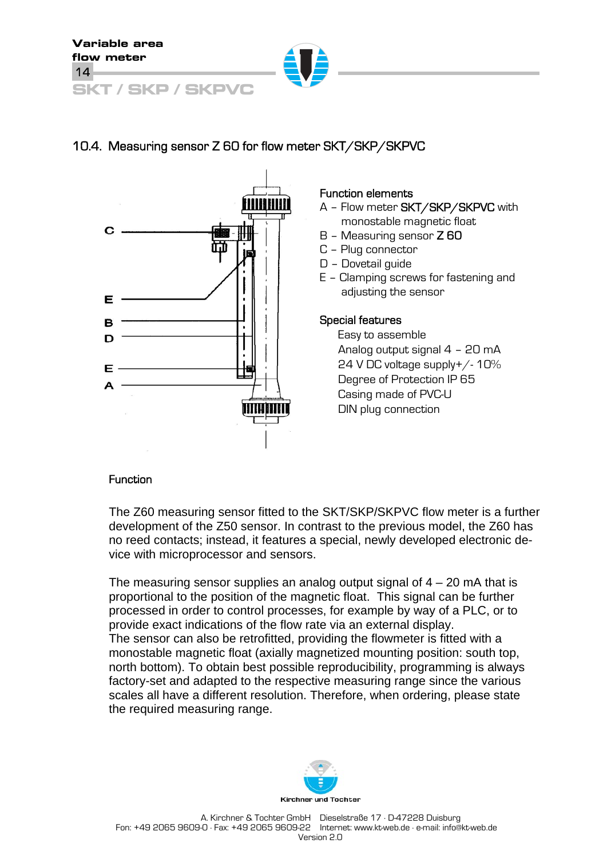

# 10.4. Measuring sensor Z 60 for flow meter SKT/SKP/SKPVC



### Function elements

- A Flow meter SKT/SKP/SKPVC with monostable magnetic float
- B Measuring sensor Z 60
- C Plug connector
- D Dovetail guide
- E Clamping screws for fastening and adjusting the sensor

### Special features

Easy to assemble Analog output signal 4 – 20 mA 24 V DC voltage supply+/- 10% Degree of Protection IP 65 Casing made of PVC-U DIN plug connection

## Function

The Z60 measuring sensor fitted to the SKT/SKP/SKPVC flow meter is a further development of the Z50 sensor. In contrast to the previous model, the Z60 has no reed contacts; instead, it features a special, newly developed electronic device with microprocessor and sensors.

The measuring sensor supplies an analog output signal of  $4 - 20$  mA that is proportional to the position of the magnetic float. This signal can be further processed in order to control processes, for example by way of a PLC, or to provide exact indications of the flow rate via an external display. The sensor can also be retrofitted, providing the flowmeter is fitted with a monostable magnetic float (axially magnetized mounting position: south top, north bottom). To obtain best possible reproducibility, programming is always factory-set and adapted to the respective measuring range since the various scales all have a different resolution. Therefore, when ordering, please state the required measuring range.

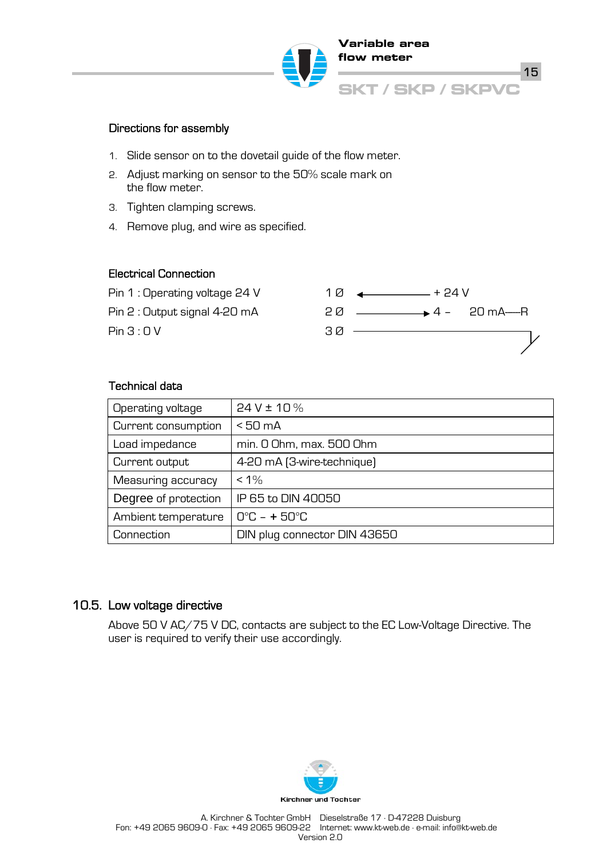

### Directions for assembly

- 1. Slide sensor on to the dovetail guide of the flow meter.
- 2. Adjust marking on sensor to the 50% scale mark on the flow meter.
- 3. Tighten clamping screws.
- 4. Remove plug, and wire as specified.

#### Electrical Connection



### Technical data

| Operating voltage    | $24V \pm 10\%$               |
|----------------------|------------------------------|
| Current consumption  | $< 50 \text{ mA}$            |
| Load impedance       | min. 0 Ohm, max. 500 Ohm     |
| Current output       | 4-20 mA (3-wire-technique)   |
| Measuring accuracy   | $< 1\%$                      |
| Degree of protection | IP 65 to DIN 40050           |
| Ambient temperature  | $O^{\circ}C - + 5O^{\circ}C$ |
| Connection           | DIN plug connector DIN 43650 |

### 10.5. Low voltage directive

Above 50 V AC/75 V DC, contacts are subject to the EC Low-Voltage Directive. The user is required to verify their use accordingly.